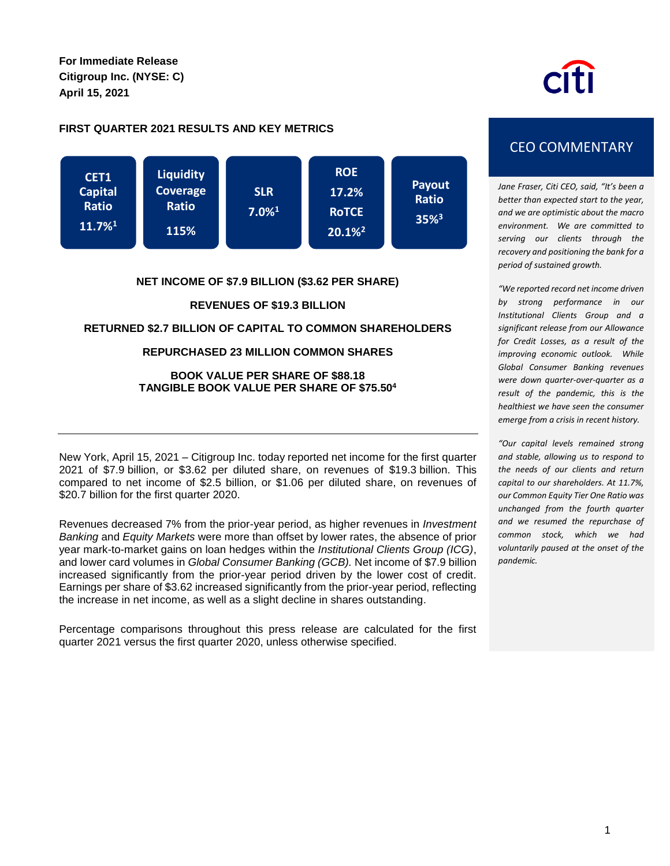**For Immediate Release Citigroup Inc. (NYSE: C) April 15, 2021**

# **FIRST QUARTER 2021 RESULTS AND KEY METRICS**



### **NET INCOME OF \$7.9 BILLION (\$3.62 PER SHARE)**

### **REVENUES OF \$19.3 BILLION**

## **RETURNED \$2.7 BILLION OF CAPITAL TO COMMON SHAREHOLDERS**

### **REPURCHASED 23 MILLION COMMON SHARES**

### **BOOK VALUE PER SHARE OF \$88.18 TANGIBLE BOOK VALUE PER SHARE OF \$75.50<sup>4</sup>**

New York, April 15, 2021 – Citigroup Inc. today reported net income for the first quarter 2021 of \$7.9 billion, or \$3.62 per diluted share, on revenues of \$19.3 billion. This compared to net income of \$2.5 billion, or \$1.06 per diluted share, on revenues of \$20.7 billion for the first quarter 2020.

Revenues decreased 7% from the prior-year period, as higher revenues in *Investment Banking* and *Equity Markets* were more than offset by lower rates, the absence of prior year mark-to-market gains on loan hedges within the *Institutional Clients Group (ICG)*, and lower card volumes in *Global Consumer Banking (GCB).* Net income of \$7.9 billion increased significantly from the prior-year period driven by the lower cost of credit. Earnings per share of \$3.62 increased significantly from the prior-year period, reflecting the increase in net income, as well as a slight decline in shares outstanding.

Percentage comparisons throughout this press release are calculated for the first quarter 2021 versus the first quarter 2020, unless otherwise specified.

# CEO COMMENTARY

*Jane Fraser, Citi CEO, said, "It's been a better than expected start to the year, and we are optimistic about the macro environment. We are committed to serving our clients through the recovery and positioning the bank for a period of sustained growth.*

*"We reported record net income driven by strong performance in our Institutional Clients Group and a significant release from our Allowance for Credit Losses, as a result of the improving economic outlook. While Global Consumer Banking revenues were down quarter-over-quarter as a result of the pandemic, this is the healthiest we have seen the consumer emerge from a crisis in recent history.* 

*"Our capital levels remained strong and stable, allowing us to respond to the needs of our clients and return capital to our shareholders. At 11.7%, our Common Equity Tier One Ratio was unchanged from the fourth quarter and we resumed the repurchase of common stock, which we had voluntarily paused at the onset of the pandemic.*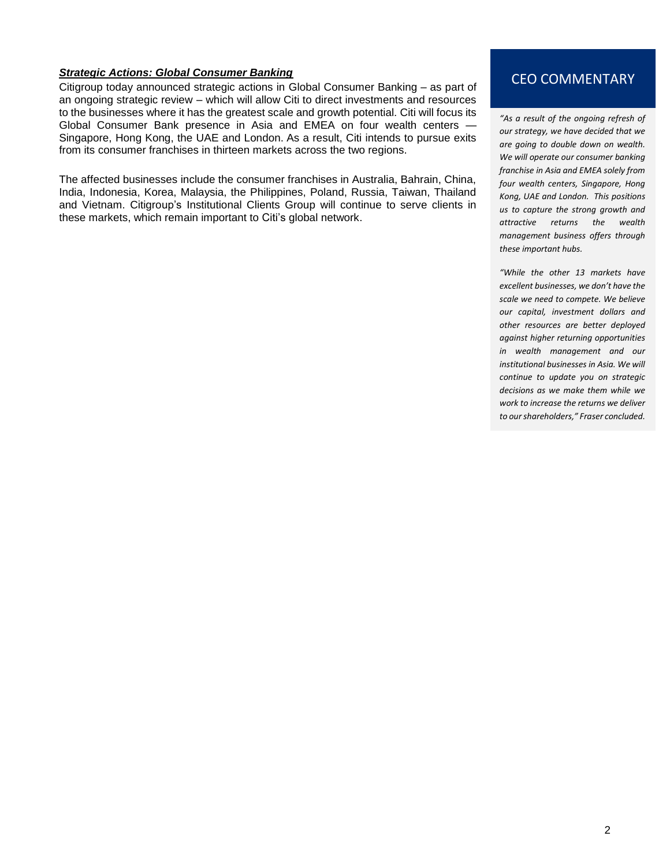**Strategic Actions: Global Consumer Banking**<br>Citigroup today announced strategic actions in Global Consumer Banking – as part of **CEO COMMENTARY** an ongoing strategic review – which will allow Citi to direct investments and resources to the businesses where it has the greatest scale and growth potential. Citi will focus its Global Consumer Bank presence in Asia and EMEA on four wealth centers -Singapore, Hong Kong, the UAE and London. As a result, Citi intends to pursue exits from its consumer franchises in thirteen markets across the two regions.

The affected businesses include the consumer franchises in Australia, Bahrain, China, India, Indonesia, Korea, Malaysia, the Philippines, Poland, Russia, Taiwan, Thailand and Vietnam. Citigroup's Institutional Clients Group will continue to serve clients in these markets, which remain important to Citi's global network.

*"As a result of the ongoing refresh of our strategy, we have decided that we are going to double down on wealth. We will operate our consumer banking franchise in Asia and EMEA solely from four wealth centers, Singapore, Hong Kong, UAE and London. This positions us to capture the strong growth and attractive returns the wealth management business offers through these important hubs.* 

*"While the other 13 markets have excellent businesses, we don't have the scale we need to compete. We believe our capital, investment dollars and other resources are better deployed against higher returning opportunities in wealth management and our institutional businesses in Asia. We will continue to update you on strategic decisions as we make them while we work to increase the returns we deliver to our shareholders," Fraser concluded.*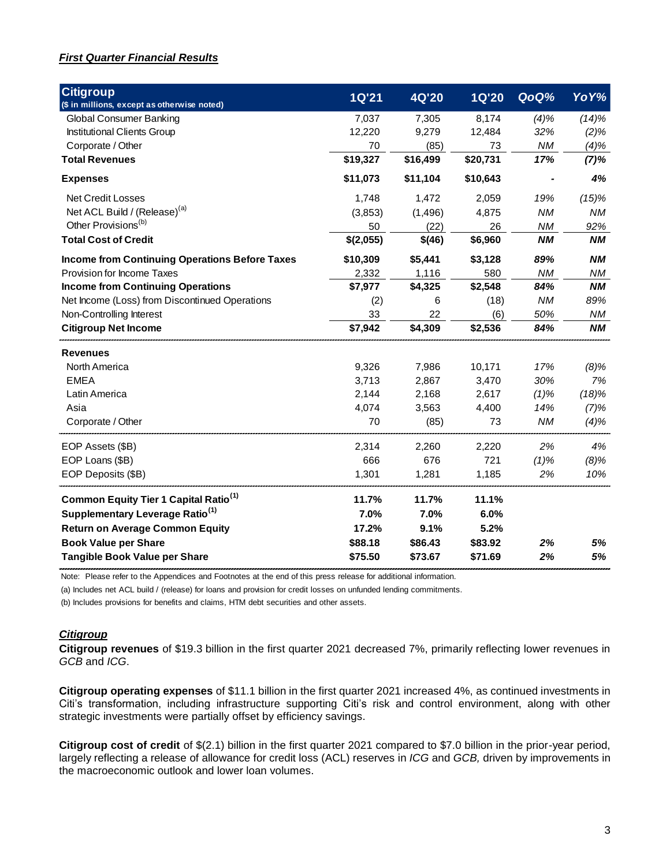# *First Quarter Financial Results*

| <b>Citigroup</b><br>(\$ in millions, except as otherwise noted) | <b>1Q'21</b> | <b>4Q'20</b> | <b>1Q'20</b> | QoQ%      | YoY%      |
|-----------------------------------------------------------------|--------------|--------------|--------------|-----------|-----------|
| <b>Global Consumer Banking</b>                                  | 7,037        | 7,305        | 8,174        | (4)%      | (14)%     |
| Institutional Clients Group                                     | 12,220       | 9,279        | 12,484       | 32%       | (2)%      |
| Corporate / Other                                               | 70           | (85)         | 73           | <b>NM</b> | (4)%      |
| <b>Total Revenues</b>                                           | \$19,327     | \$16,499     | \$20,731     | 17%       | (7)%      |
| <b>Expenses</b>                                                 | \$11,073     | \$11,104     | \$10,643     |           | 4%        |
| <b>Net Credit Losses</b>                                        | 1,748        | 1,472        | 2,059        | 19%       | (15)%     |
| Net ACL Build / (Release) <sup>(a)</sup>                        | (3,853)      | (1,496)      | 4,875        | <b>NM</b> | <b>NM</b> |
| Other Provisions <sup>(b)</sup>                                 | 50           | (22)         | 26           | <b>NM</b> | 92%       |
| <b>Total Cost of Credit</b>                                     | \$(2,055)    | \$(46)       | \$6,960      | <b>NM</b> | <b>NM</b> |
| <b>Income from Continuing Operations Before Taxes</b>           | \$10,309     | \$5,441      | \$3,128      | 89%       | <b>NM</b> |
| Provision for Income Taxes                                      | 2,332        | 1,116        | 580          | <b>NM</b> | ΝM        |
| <b>Income from Continuing Operations</b>                        | \$7,977      | \$4,325      | \$2,548      | 84%       | <b>NM</b> |
| Net Income (Loss) from Discontinued Operations                  | (2)          | 6            | (18)         | <b>NM</b> | 89%       |
| Non-Controlling Interest                                        | 33           | 22           | (6)          | 50%       | <b>NM</b> |
| <b>Citigroup Net Income</b>                                     | \$7,942      | \$4,309      | \$2,536      | 84%       | <b>NM</b> |
| <b>Revenues</b>                                                 |              |              |              |           |           |
| North America                                                   | 9,326        | 7,986        | 10,171       | 17%       | $(8)\%$   |
| <b>EMEA</b>                                                     | 3,713        | 2,867        | 3,470        | 30%       | 7%        |
| Latin America                                                   | 2,144        | 2,168        | 2,617        | $(1)\%$   | (18)%     |
| Asia                                                            | 4,074        | 3,563        | 4,400        | 14%       | (7)%      |
| Corporate / Other                                               | 70           | (85)         | 73           | <b>NM</b> | (4)%      |
| EOP Assets (\$B)                                                | 2,314        | 2,260        | 2,220        | 2%        | 4%        |
| EOP Loans (\$B)                                                 | 666          | 676          | 721          | $(1)\%$   | $(8)\%$   |
| EOP Deposits (\$B)                                              | 1,301        | 1,281        | 1,185        | 2%        | 10%       |
| Common Equity Tier 1 Capital Ratio <sup>(1)</sup>               | 11.7%        | 11.7%        | 11.1%        |           |           |
| Supplementary Leverage Ratio <sup>(1)</sup>                     | 7.0%         | 7.0%         | 6.0%         |           |           |
| <b>Return on Average Common Equity</b>                          | 17.2%        | 9.1%         | 5.2%         |           |           |
| <b>Book Value per Share</b>                                     | \$88.18      | \$86.43      | \$83.92      | 2%        | 5%        |
| Tangible Book Value per Share                                   | \$75.50      | \$73.67      | \$71.69      | 2%        | 5%        |
|                                                                 |              |              |              |           |           |

Note: Please refer to the Appendices and Footnotes at the end of this press release for additional information.

(a) Includes net ACL build / (release) for loans and provision for credit losses on unfunded lending commitments.

(b) Includes provisions for benefits and claims, HTM debt securities and other assets.

### *Citigroup*

**Citigroup revenues** of \$19.3 billion in the first quarter 2021 decreased 7%, primarily reflecting lower revenues in *GCB* and *ICG*.

**Citigroup operating expenses** of \$11.1 billion in the first quarter 2021 increased 4%, as continued investments in Citi's transformation, including infrastructure supporting Citi's risk and control environment, along with other strategic investments were partially offset by efficiency savings.

**Citigroup cost of credit** of \$(2.1) billion in the first quarter 2021 compared to \$7.0 billion in the prior-year period, largely reflecting a release of allowance for credit loss (ACL) reserves in *ICG* and *GCB,* driven by improvements in the macroeconomic outlook and lower loan volumes.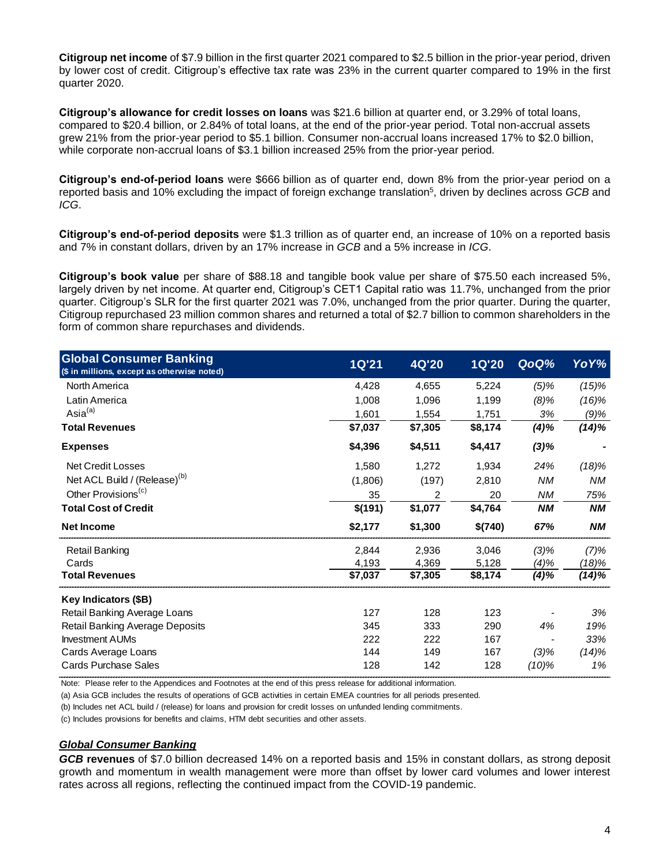**Citigroup net income** of \$7.9 billion in the first quarter 2021 compared to \$2.5 billion in the prior-year period, driven by lower cost of credit. Citigroup's effective tax rate was 23% in the current quarter compared to 19% in the first quarter 2020.

**Citigroup's allowance for credit losses on loans** was \$21.6 billion at quarter end, or 3.29% of total loans, compared to \$20.4 billion, or 2.84% of total loans, at the end of the prior-year period. Total non-accrual assets grew 21% from the prior-year period to \$5.1 billion. Consumer non-accrual loans increased 17% to \$2.0 billion, while corporate non-accrual loans of \$3.1 billion increased 25% from the prior-year period*.*

**Citigroup's end-of-period loans** were \$666 billion as of quarter end, down 8% from the prior-year period on a reported basis and 10% excluding the impact of foreign exchange translation<sup>5</sup> , driven by declines across *GCB* and *ICG*.

**Citigroup's end-of-period deposits** were \$1.3 trillion as of quarter end, an increase of 10% on a reported basis and 7% in constant dollars, driven by an 17% increase in *GCB* and a 5% increase in *ICG*.

**Citigroup's book value** per share of \$88.18 and tangible book value per share of \$75.50 each increased 5%, largely driven by net income. At quarter end, Citigroup's CET1 Capital ratio was 11.7%, unchanged from the prior quarter. Citigroup's SLR for the first quarter 2021 was 7.0%, unchanged from the prior quarter. During the quarter, Citigroup repurchased 23 million common shares and returned a total of \$2.7 billion to common shareholders in the form of common share repurchases and dividends.

| <b>Global Consumer Banking</b><br>(\$ in millions, except as otherwise noted) | <b>1Q'21</b> | 4Q'20   | <b>1Q'20</b> | QoQ%      | YoY%      |
|-------------------------------------------------------------------------------|--------------|---------|--------------|-----------|-----------|
| North America                                                                 | 4,428        | 4,655   | 5,224        | $(5)\%$   | $(15)\%$  |
| Latin America                                                                 | 1,008        | 1,096   | 1,199        | $(8)\%$   | (16)%     |
| Asia <sup>(a)</sup>                                                           | 1,601        | 1,554   | 1,751        | 3%        | (9)%      |
| <b>Total Revenues</b>                                                         | \$7,037      | \$7,305 | \$8,174      | (4)%      | $(14)\%$  |
| <b>Expenses</b>                                                               | \$4,396      | \$4,511 | \$4,417      | $(3)\%$   |           |
| <b>Net Credit Losses</b>                                                      | 1,580        | 1,272   | 1,934        | 24%       | (18)%     |
| Net ACL Build / (Release) <sup>(b)</sup>                                      | (1,806)      | (197)   | 2,810        | <b>NM</b> | <b>NM</b> |
| Other Provisions <sup>(c)</sup>                                               | 35           | 2       | 20           | ΝM        | 75%       |
| <b>Total Cost of Credit</b>                                                   | \$(191)      | \$1,077 | \$4,764      | <b>NM</b> | <b>NM</b> |
| <b>Net Income</b>                                                             | \$2,177      | \$1,300 | \$(740)      | 67%       | <b>NM</b> |
| <b>Retail Banking</b>                                                         | 2,844        | 2,936   | 3,046        | $(3)\%$   | (7)%      |
| Cards                                                                         | 4,193        | 4,369   | 5,128        | (4)%      | (18)%     |
| <b>Total Revenues</b>                                                         | \$7,037      | \$7,305 | \$8,174      | (4)%      | (14)%     |
| Key Indicators (\$B)                                                          |              |         |              |           |           |
| Retail Banking Average Loans                                                  | 127          | 128     | 123          |           | 3%        |
| <b>Retail Banking Average Deposits</b>                                        | 345          | 333     | 290          | 4%        | 19%       |
| <b>Investment AUMs</b>                                                        | 222          | 222     | 167          |           | 33%       |
| Cards Average Loans                                                           | 144          | 149     | 167          | $(3)\%$   | (14)%     |
| <b>Cards Purchase Sales</b>                                                   | 128          | 142     | 128          | $(10)\%$  | 1%        |

Note: Please refer to the Appendices and Footnotes at the end of this press release for additional information.

(a) Asia GCB includes the results of operations of GCB activities in certain EMEA countries for all periods presented.

(b) Includes net ACL build / (release) for loans and provision for credit losses on unfunded lending commitments.

(c) Includes provisions for benefits and claims, HTM debt securities and other assets.

### *Global Consumer Banking*

*GCB* **revenues** of \$7.0 billion decreased 14% on a reported basis and 15% in constant dollars, as strong deposit growth and momentum in wealth management were more than offset by lower card volumes and lower interest rates across all regions, reflecting the continued impact from the COVID-19 pandemic.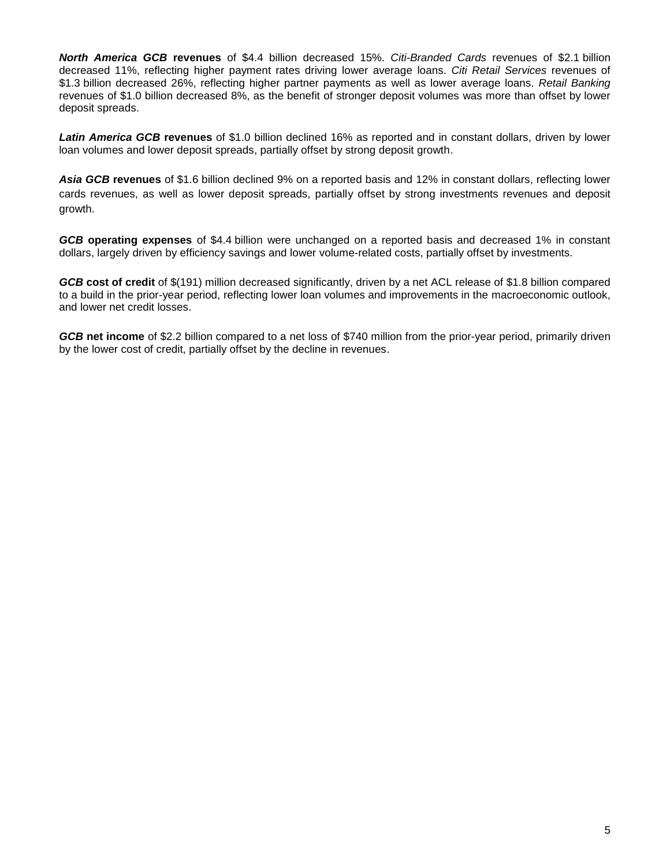*North America GCB* **revenues** of \$4.4 billion decreased 15%. *Citi-Branded Cards* revenues of \$2.1 billion decreased 11%, reflecting higher payment rates driving lower average loans. *Citi Retail Services* revenues of \$1.3 billion decreased 26%, reflecting higher partner payments as well as lower average loans. *Retail Banking* revenues of \$1.0 billion decreased 8%, as the benefit of stronger deposit volumes was more than offset by lower deposit spreads.

*Latin America GCB* **revenues** of \$1.0 billion declined 16% as reported and in constant dollars, driven by lower loan volumes and lower deposit spreads, partially offset by strong deposit growth.

*Asia GCB* **revenues** of \$1.6 billion declined 9% on a reported basis and 12% in constant dollars, reflecting lower cards revenues, as well as lower deposit spreads, partially offset by strong investments revenues and deposit growth.

*GCB* **operating expenses** of \$4.4 billion were unchanged on a reported basis and decreased 1% in constant dollars, largely driven by efficiency savings and lower volume-related costs, partially offset by investments.

*GCB* **cost of credit** of \$(191) million decreased significantly, driven by a net ACL release of \$1.8 billion compared to a build in the prior-year period, reflecting lower loan volumes and improvements in the macroeconomic outlook, and lower net credit losses.

*GCB* **net income** of \$2.2 billion compared to a net loss of \$740 million from the prior-year period, primarily driven by the lower cost of credit, partially offset by the decline in revenues.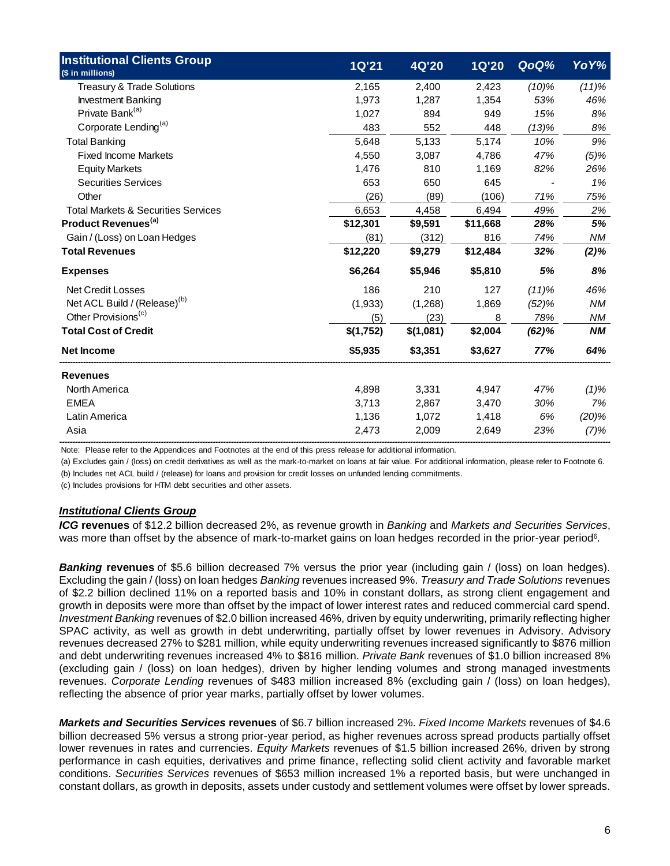| <b>Institutional Clients Group</b>                                                                                                                                                                                                                                                                                                                                                                                                                                                                                                                                                                                                                                                                                                                                                                                                                                                                                                                                                                                                                                                                                                                                                                                                                                                       | <b>1Q'21</b> | <b>4Q'20</b> | <b>1Q'20</b> | QoQ%     | YoY%    |
|------------------------------------------------------------------------------------------------------------------------------------------------------------------------------------------------------------------------------------------------------------------------------------------------------------------------------------------------------------------------------------------------------------------------------------------------------------------------------------------------------------------------------------------------------------------------------------------------------------------------------------------------------------------------------------------------------------------------------------------------------------------------------------------------------------------------------------------------------------------------------------------------------------------------------------------------------------------------------------------------------------------------------------------------------------------------------------------------------------------------------------------------------------------------------------------------------------------------------------------------------------------------------------------|--------------|--------------|--------------|----------|---------|
| (\$ in millions)                                                                                                                                                                                                                                                                                                                                                                                                                                                                                                                                                                                                                                                                                                                                                                                                                                                                                                                                                                                                                                                                                                                                                                                                                                                                         |              |              |              |          |         |
| Treasury & Trade Solutions                                                                                                                                                                                                                                                                                                                                                                                                                                                                                                                                                                                                                                                                                                                                                                                                                                                                                                                                                                                                                                                                                                                                                                                                                                                               | 2,165        | 2,400        | 2,423        | $(10)\%$ | (11)%   |
| <b>Investment Banking</b>                                                                                                                                                                                                                                                                                                                                                                                                                                                                                                                                                                                                                                                                                                                                                                                                                                                                                                                                                                                                                                                                                                                                                                                                                                                                | 1,973        | 1,287        | 1,354        | 53%      | 46%     |
| Private Bank <sup>(a)</sup>                                                                                                                                                                                                                                                                                                                                                                                                                                                                                                                                                                                                                                                                                                                                                                                                                                                                                                                                                                                                                                                                                                                                                                                                                                                              | 1,027        | 894          | 949          | 15%      | 8%      |
| Corporate Lending <sup>(a)</sup>                                                                                                                                                                                                                                                                                                                                                                                                                                                                                                                                                                                                                                                                                                                                                                                                                                                                                                                                                                                                                                                                                                                                                                                                                                                         | 483          | 552          | 448          | (13)%    | 8%      |
| <b>Total Banking</b>                                                                                                                                                                                                                                                                                                                                                                                                                                                                                                                                                                                                                                                                                                                                                                                                                                                                                                                                                                                                                                                                                                                                                                                                                                                                     | 5,648        | 5,133        | 5,174        | 10%      | 9%      |
| <b>Fixed Income Markets</b>                                                                                                                                                                                                                                                                                                                                                                                                                                                                                                                                                                                                                                                                                                                                                                                                                                                                                                                                                                                                                                                                                                                                                                                                                                                              | 4,550        | 3,087        | 4,786        | 47%      | $(5)\%$ |
| <b>Equity Markets</b>                                                                                                                                                                                                                                                                                                                                                                                                                                                                                                                                                                                                                                                                                                                                                                                                                                                                                                                                                                                                                                                                                                                                                                                                                                                                    | 1,476        | 810          | 1,169        | 82%      | 26%     |
| <b>Securities Services</b>                                                                                                                                                                                                                                                                                                                                                                                                                                                                                                                                                                                                                                                                                                                                                                                                                                                                                                                                                                                                                                                                                                                                                                                                                                                               | 653          | 650          | 645          |          | 1%      |
| Other                                                                                                                                                                                                                                                                                                                                                                                                                                                                                                                                                                                                                                                                                                                                                                                                                                                                                                                                                                                                                                                                                                                                                                                                                                                                                    | (26)         | (89)         | (106)        | 71%      | 75%     |
| <b>Total Markets &amp; Securities Services</b>                                                                                                                                                                                                                                                                                                                                                                                                                                                                                                                                                                                                                                                                                                                                                                                                                                                                                                                                                                                                                                                                                                                                                                                                                                           | 6,653        | 4,458        | 6,494        | 49%      | 2%      |
| Product Revenues <sup>(a)</sup>                                                                                                                                                                                                                                                                                                                                                                                                                                                                                                                                                                                                                                                                                                                                                                                                                                                                                                                                                                                                                                                                                                                                                                                                                                                          | \$12,301     | \$9,591      | \$11,668     | 28%      | 5%      |
| Gain / (Loss) on Loan Hedges                                                                                                                                                                                                                                                                                                                                                                                                                                                                                                                                                                                                                                                                                                                                                                                                                                                                                                                                                                                                                                                                                                                                                                                                                                                             | (81)         | (312)        | 816          | 74%      | ΝM      |
| <b>Total Revenues</b>                                                                                                                                                                                                                                                                                                                                                                                                                                                                                                                                                                                                                                                                                                                                                                                                                                                                                                                                                                                                                                                                                                                                                                                                                                                                    | \$12,220     | \$9,279      | \$12,484     | 32%      | $(2)\%$ |
| <b>Expenses</b>                                                                                                                                                                                                                                                                                                                                                                                                                                                                                                                                                                                                                                                                                                                                                                                                                                                                                                                                                                                                                                                                                                                                                                                                                                                                          | \$6,264      | \$5,946      | \$5,810      | 5%       | 8%      |
| <b>Net Credit Losses</b>                                                                                                                                                                                                                                                                                                                                                                                                                                                                                                                                                                                                                                                                                                                                                                                                                                                                                                                                                                                                                                                                                                                                                                                                                                                                 | 186          | 210          | 127          | (11)%    | 46%     |
| Net ACL Build / (Release) <sup>(b)</sup>                                                                                                                                                                                                                                                                                                                                                                                                                                                                                                                                                                                                                                                                                                                                                                                                                                                                                                                                                                                                                                                                                                                                                                                                                                                 | (1,933)      | (1,268)      | 1,869        | (52)%    | ΝM      |
| Other Provisions <sup>(c)</sup>                                                                                                                                                                                                                                                                                                                                                                                                                                                                                                                                                                                                                                                                                                                                                                                                                                                                                                                                                                                                                                                                                                                                                                                                                                                          | (5)          | (23)         | 8            | 78%      | ΝM      |
| <b>Total Cost of Credit</b>                                                                                                                                                                                                                                                                                                                                                                                                                                                                                                                                                                                                                                                                                                                                                                                                                                                                                                                                                                                                                                                                                                                                                                                                                                                              | \$(1,752)    | \$(1,081)    | \$2,004      | (62)%    | ΝM      |
| <b>Net Income</b>                                                                                                                                                                                                                                                                                                                                                                                                                                                                                                                                                                                                                                                                                                                                                                                                                                                                                                                                                                                                                                                                                                                                                                                                                                                                        | \$5,935      | \$3,351      | \$3,627      | 77%      | 64%     |
| Revenues                                                                                                                                                                                                                                                                                                                                                                                                                                                                                                                                                                                                                                                                                                                                                                                                                                                                                                                                                                                                                                                                                                                                                                                                                                                                                 |              |              |              |          |         |
| <b>North America</b>                                                                                                                                                                                                                                                                                                                                                                                                                                                                                                                                                                                                                                                                                                                                                                                                                                                                                                                                                                                                                                                                                                                                                                                                                                                                     | 4,898        | 3,331        | 4,947        | 47%      | $(1)\%$ |
| <b>EMEA</b>                                                                                                                                                                                                                                                                                                                                                                                                                                                                                                                                                                                                                                                                                                                                                                                                                                                                                                                                                                                                                                                                                                                                                                                                                                                                              | 3,713        | 2,867        | 3,470        | 30%      | 7%      |
| Latin America                                                                                                                                                                                                                                                                                                                                                                                                                                                                                                                                                                                                                                                                                                                                                                                                                                                                                                                                                                                                                                                                                                                                                                                                                                                                            | 1,136        | 1,072        | 1,418        | 6%       | (20)%   |
| Asia                                                                                                                                                                                                                                                                                                                                                                                                                                                                                                                                                                                                                                                                                                                                                                                                                                                                                                                                                                                                                                                                                                                                                                                                                                                                                     | 2,473        | 2,009        | 2,649        | 23%      | $(7)\%$ |
| (a) Excludes gain / (loss) on credit derivatives as well as the mark-to-market on loans at fair value. For additional information, please refer to Footnote 6.<br>(b) Includes net ACL build / (release) for loans and provision for credit losses on unfunded lending commitments.<br>(c) Includes provisions for HTM debt securities and other assets.<br><b>Institutional Clients Group</b><br>ICG revenues of \$12.2 billion decreased 2%, as revenue growth in Banking and Markets and Securities Services,<br>was more than offset by the absence of mark-to-market gains on loan hedges recorded in the prior-year period <sup>6</sup> .                                                                                                                                                                                                                                                                                                                                                                                                                                                                                                                                                                                                                                          |              |              |              |          |         |
| <b>Banking revenues</b> of \$5.6 billion decreased 7% versus the prior year (including gain / (loss) on loan hedges).<br>Excluding the gain / (loss) on loan hedges Banking revenues increased 9%. Treasury and Trade Solutions revenues<br>of \$2.2 billion declined 11% on a reported basis and 10% in constant dollars, as strong client engagement and<br>growth in deposits were more than offset by the impact of lower interest rates and reduced commercial card spend.<br>Investment Banking revenues of \$2.0 billion increased 46%, driven by equity underwriting, primarily reflecting higher<br>SPAC activity, as well as growth in debt underwriting, partially offset by lower revenues in Advisory. Advisory<br>revenues decreased 27% to \$281 million, while equity underwriting revenues increased significantly to \$876 million<br>and debt underwriting revenues increased 4% to \$816 million. Private Bank revenues of \$1.0 billion increased 8%<br>(excluding gain / (loss) on loan hedges), driven by higher lending volumes and strong managed investments<br>revenues. Corporate Lending revenues of \$483 million increased 8% (excluding gain / (loss) on loan hedges),<br>reflecting the absence of prior year marks, partially offset by lower volumes. |              |              |              |          |         |
| <b>Markets and Securities Services revenues</b> of \$6.7 billion increased 2%. Fixed Income Markets revenues of \$4.6<br>billion decreased 5% versus a strong prior-year period, as higher revenues across spread products partially offset<br>lower revenues in rates and currencies. Equity Markets revenues of \$1.5 billion increased 26%, driven by strong<br>performance in cash equities, derivatives and prime finance, reflecting solid client activity and favorable market<br>conditions. Securities Services revenues of \$653 million increased 1% a reported basis, but were unchanged in<br>constant dollars, as growth in deposits, assets under custody and settlement volumes were offset by lower spreads.                                                                                                                                                                                                                                                                                                                                                                                                                                                                                                                                                            |              |              |              |          |         |

### *Institutional Clients Group*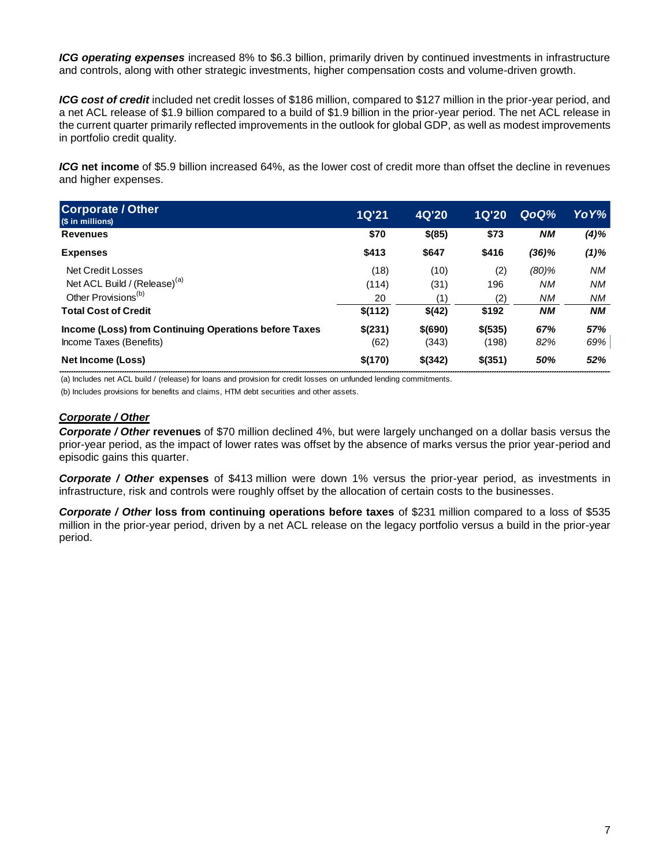*ICG operating expenses* increased 8% to \$6.3 billion, primarily driven by continued investments in infrastructure and controls, along with other strategic investments, higher compensation costs and volume-driven growth.

*ICG cost of credit* included net credit losses of \$186 million, compared to \$127 million in the prior-year period, and a net ACL release of \$1.9 billion compared to a build of \$1.9 billion in the prior-year period. The net ACL release in the current quarter primarily reflected improvements in the outlook for global GDP, as well as modest improvements in portfolio credit quality.

*ICG* **net income** of \$5.9 billion increased 64%, as the lower cost of credit more than offset the decline in revenues and higher expenses.

| <b>ICG net income</b> of \$5.9 billion increased 64%, as the lower cost of credit more than offset the decline in revenues<br>and higher expenses. |              |         |              |           |           |
|----------------------------------------------------------------------------------------------------------------------------------------------------|--------------|---------|--------------|-----------|-----------|
| <b>Corporate / Other</b><br>(\$ in millions)                                                                                                       | <b>1Q'21</b> | 4Q'20   | <b>1Q'20</b> | QoQ%      | YoY%      |
| <b>Revenues</b>                                                                                                                                    | \$70         | \$(85)  | \$73         | <b>NM</b> | $(4)\%$   |
| <b>Expenses</b>                                                                                                                                    | \$413        | \$647   | \$416        | (36)%     | $(1)\%$   |
| <b>Net Credit Losses</b>                                                                                                                           | (18)         | (10)    | (2)          | $(80)$ %  | NM.       |
| Net ACL Build / (Release) <sup>(a)</sup>                                                                                                           | (114)        | (31)    | 196          | NM.       | NM.       |
| Other Provisions <sup>(b)</sup>                                                                                                                    | 20           | (1)     | (2)          | <b>NM</b> | NM.       |
| <b>Total Cost of Credit</b>                                                                                                                        | \$(112)      | \$(42)  | \$192        | <b>NM</b> | <b>NM</b> |
| Income (Loss) from Continuing Operations before Taxes                                                                                              | \$(231)      | \$(690) | \$ (535)     | 67%       | 57%       |
| Income Taxes (Benefits)                                                                                                                            | (62)         | (343)   | (198)        | 82%       | 69%       |
| Net Income (Loss)                                                                                                                                  | \$(170)      | \$(342) | $$$ (351)    | 50%       | 52%       |

(a) Includes net ACL build / (release) for loans and provision for credit losses on unfunded lending commitments.

(b) Includes provisions for benefits and claims, HTM debt securities and other assets.

## *Corporate / Other*

*Corporate / Other* **revenues** of \$70 million declined 4%, but were largely unchanged on a dollar basis versus the prior-year period, as the impact of lower rates was offset by the absence of marks versus the prior year-period and episodic gains this quarter.

*Corporate / Other* **expenses** of \$413 million were down 1% versus the prior-year period, as investments in infrastructure, risk and controls were roughly offset by the allocation of certain costs to the businesses.

*Corporate / Other* **loss from continuing operations before taxes** of \$231 million compared to a loss of \$535 million in the prior-year period, driven by a net ACL release on the legacy portfolio versus a build in the prior-year period.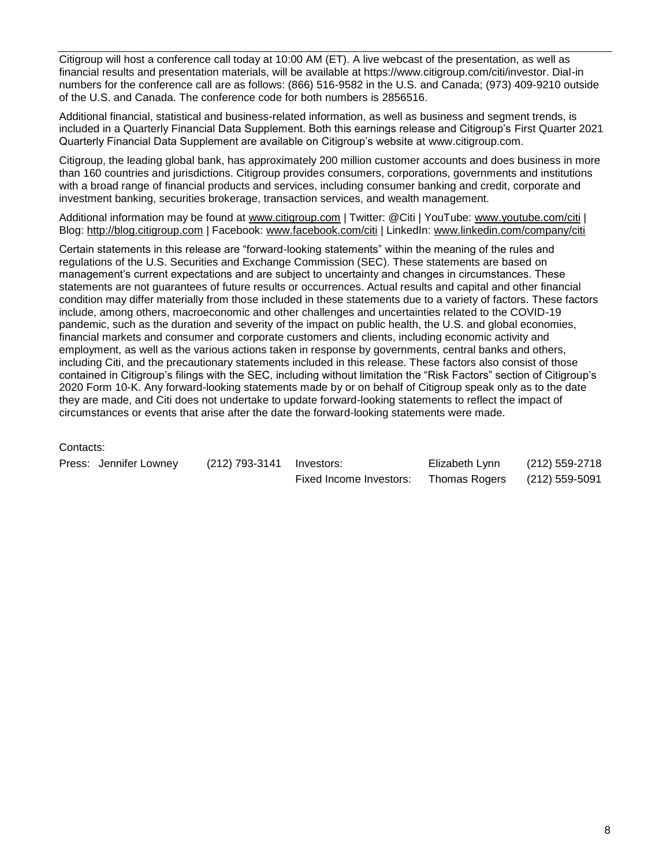Citigroup will host a conference call today at 10:00 AM (ET). A live webcast of the presentation, as well as financial results and presentation materials, will be available at https://www.citigroup.com/citi/investor. Dial-in numbers for the conference call are as follows: (866) 516-9582 in the U.S. and Canada; (973) 409-9210 outside of the U.S. and Canada. The conference code for both numbers is 2856516.

Additional financial, statistical and business-related information, as well as business and segment trends, is included in a Quarterly Financial Data Supplement. Both this earnings release and Citigroup's First Quarter 2021 Quarterly Financial Data Supplement are available on Citigroup's website at [www.citigroup.com.](http://www.citigroup.com/)

Citigroup, the leading global bank, has approximately 200 million customer accounts and does business in more than 160 countries and jurisdictions. Citigroup provides consumers, corporations, governments and institutions with a broad range of financial products and services, including consumer banking and credit, corporate and investment banking, securities brokerage, transaction services, and wealth management.

Additional information may be found at [www.citigroup.com](http://www.citigroup.com/) | Twitter: @Citi | YouTube: [www.youtube.com/citi](http://www.youtube.com/citi) | Blog: [http://blog.citigroup.com](http://blog.citigroup.com/) | Facebook: [www.facebook.com/citi](http://www.facebook.com/citi) | LinkedIn: [www.linkedin.com/company/citi](http://www.linkedin.com/company/citi)

Certain statements in this release are "forward-looking statements" within the meaning of the rules and regulations of the U.S. Securities and Exchange Commission (SEC). These statements are based on management's current expectations and are subject to uncertainty and changes in circumstances. These statements are not guarantees of future results or occurrences. Actual results and capital and other financial condition may differ materially from those included in these statements due to a variety of factors. These factors include, among others, macroeconomic and other challenges and uncertainties related to the COVID-19 pandemic, such as the duration and severity of the impact on public health, the U.S. and global economies, financial markets and consumer and corporate customers and clients, including economic activity and employment, as well as the various actions taken in response by governments, central banks and others, including Citi, and the precautionary statements included in this release. These factors also consist of those contained in Citigroup's filings with the SEC, including without limitation the "Risk Factors" section of Citigroup's 2020 Form 10-K. Any forward-looking statements made by or on behalf of Citigroup speak only as to the date they are made, and Citi does not undertake to update forward-looking statements to reflect the impact of circumstances or events that arise after the date the forward-looking statements were made.

### Contacts:

| Press: Jennifer Lowney | (212) 793-3141 Investors: |                         | Elizabeth Lynn | (212) 559-2718 |
|------------------------|---------------------------|-------------------------|----------------|----------------|
|                        |                           | Fixed Income Investors: | Thomas Rogers  | (212) 559-5091 |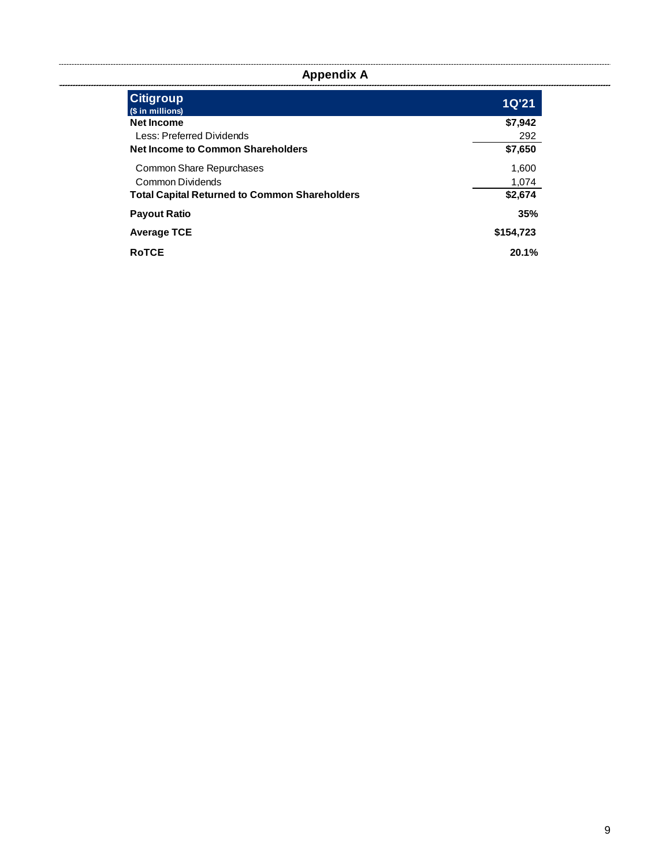**Appendix A**

| <b>Citigroup</b><br>(\$ in millions)                 | <b>1Q'21</b> |
|------------------------------------------------------|--------------|
| <b>Net Income</b>                                    | \$7,942      |
| Less: Preferred Dividends                            | 292          |
| <b>Net Income to Common Shareholders</b>             | \$7,650      |
| Common Share Repurchases                             | 1,600        |
| Common Dividends                                     | 1,074        |
| <b>Total Capital Returned to Common Shareholders</b> | \$2,674      |
| <b>Payout Ratio</b>                                  | 35%          |
| <b>Average TCE</b>                                   | \$154,723    |
| <b>RoTCE</b>                                         | 20.1%        |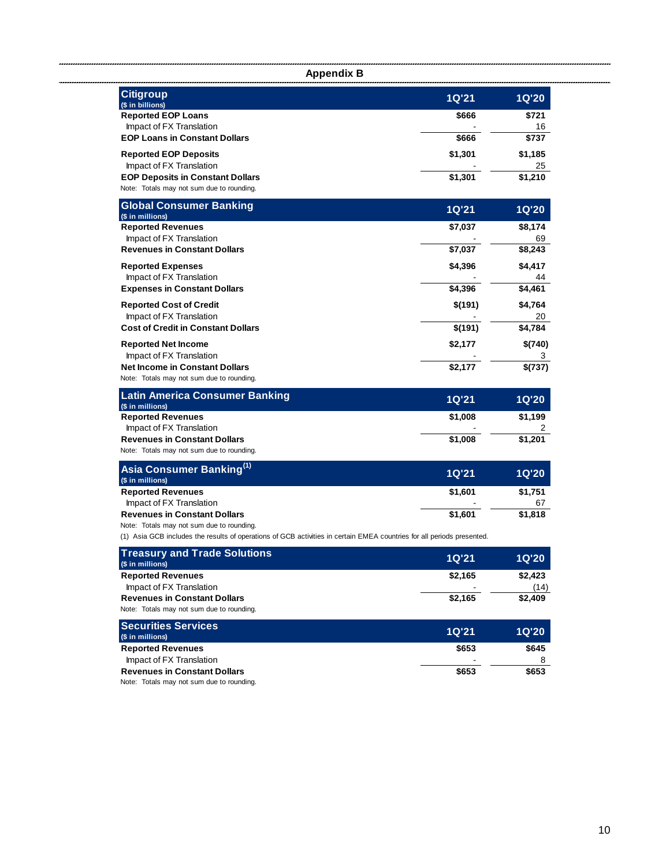| <b>Appendix B</b>                                                                                                      |              |              |
|------------------------------------------------------------------------------------------------------------------------|--------------|--------------|
| <b>Citigroup</b><br>(\$ in billions)                                                                                   | <b>1Q'21</b> | <b>1Q'20</b> |
| <b>Reported EOP Loans</b>                                                                                              | \$666        | \$721        |
| Impact of FX Translation                                                                                               |              | 16           |
| <b>EOP Loans in Constant Dollars</b>                                                                                   | \$666        | \$737        |
| <b>Reported EOP Deposits</b>                                                                                           | \$1,301      | \$1,185      |
| Impact of FX Translation                                                                                               |              | 25           |
| <b>EOP Deposits in Constant Dollars</b>                                                                                | \$1,301      | \$1,210      |
| Note: Totals may not sum due to rounding.                                                                              |              |              |
| <b>Global Consumer Banking</b>                                                                                         | <b>1Q'21</b> | <b>1Q'20</b> |
| (\$ in millions)<br><b>Reported Revenues</b>                                                                           | \$7,037      | \$8,174      |
| Impact of FX Translation                                                                                               |              | 69           |
| <b>Revenues in Constant Dollars</b>                                                                                    | \$7,037      | \$8,243      |
| <b>Reported Expenses</b>                                                                                               | \$4,396      | \$4,417      |
| Impact of FX Translation                                                                                               |              |              |
| <b>Expenses in Constant Dollars</b>                                                                                    | \$4,396      | \$4,461      |
| <b>Reported Cost of Credit</b>                                                                                         | \$(191)      | \$4,764      |
| Impact of FX Translation                                                                                               |              | 20           |
| <b>Cost of Credit in Constant Dollars</b>                                                                              | \$(191)      | \$4,784      |
| <b>Reported Net Income</b>                                                                                             | \$2,177      | \$(740)      |
| Impact of FX Translation                                                                                               |              |              |
| <b>Net Income in Constant Dollars</b>                                                                                  | \$2,177      | \$(737)      |
| Note: Totals may not sum due to rounding.                                                                              |              |              |
| <b>Latin America Consumer Banking</b>                                                                                  | <b>1Q'21</b> | <b>1Q'20</b> |
| (\$ in millions)                                                                                                       |              |              |
| <b>Reported Revenues</b><br>Impact of FX Translation                                                                   | \$1,008      | \$1,199      |
| <b>Revenues in Constant Dollars</b>                                                                                    | \$1,008      | \$1,201      |
| Note: Totals may not sum due to rounding.                                                                              |              |              |
| Asia Consumer Banking <sup>(1)</sup>                                                                                   | <b>1Q'21</b> | <b>1Q'20</b> |
| (\$ in millions)                                                                                                       |              |              |
| <b>Reported Revenues</b>                                                                                               | \$1,601      | \$1,751      |
| Impact of FX Translation                                                                                               |              | 67           |
| <b>Revenues in Constant Dollars</b>                                                                                    | \$1,601      | \$1,818      |
| Note: Totals may not sum due to rounding.                                                                              |              |              |
| (1) Asia GCB includes the results of operations of GCB activities in certain EMEA countries for all periods presented. |              |              |
| <b>Treasury and Trade Solutions</b><br>(\$ in millions)                                                                | <b>1Q'21</b> | <b>1Q'20</b> |
| <b>Reported Revenues</b>                                                                                               | \$2,165      | \$2,423      |
| Impact of FX Translation                                                                                               |              | (14)         |
| <b>Revenues in Constant Dollars</b>                                                                                    | \$2,165      | \$2,409      |
| Note: Totals may not sum due to rounding.                                                                              |              |              |
| <b>Securities Services</b>                                                                                             |              |              |
| (\$ in millions)                                                                                                       | <b>1Q'21</b> | <b>1Q'20</b> |

| <b>Reported Revenues</b>                  | \$653 | \$645 |
|-------------------------------------------|-------|-------|
| Impact of FX Translation                  | -     |       |
| <b>Revenues in Constant Dollars</b>       | \$653 | \$653 |
| Note: Totals may not sum due to rounding. |       |       |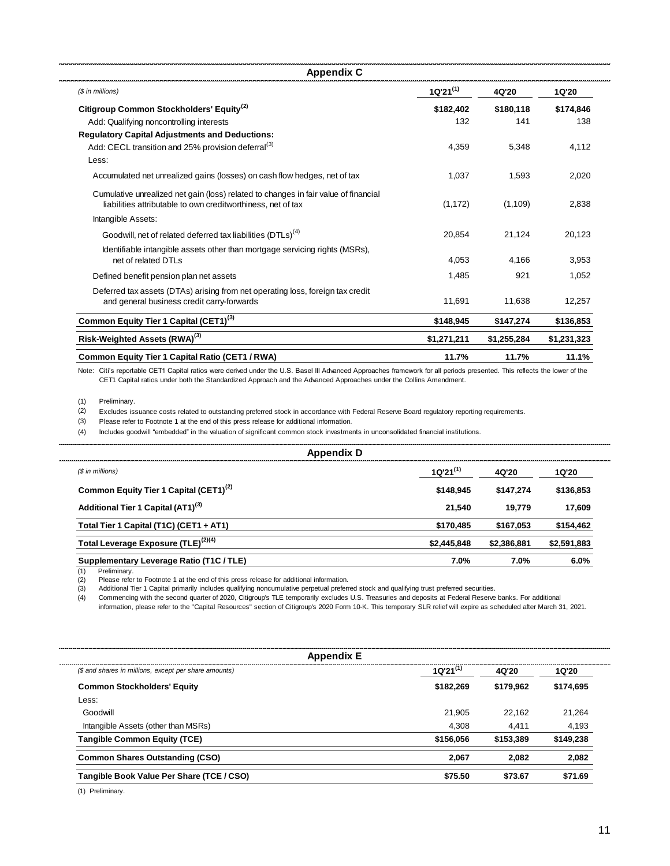| <b>Appendix C</b>                                                                                                                                   |               |             |             |
|-----------------------------------------------------------------------------------------------------------------------------------------------------|---------------|-------------|-------------|
| (\$ in millions)                                                                                                                                    | $1Q'21^{(1)}$ | 4Q'20       | 1Q'20       |
| Citigroup Common Stockholders' Equity <sup>(2)</sup>                                                                                                | \$182,402     | \$180,118   | \$174,846   |
| Add: Qualifying noncontrolling interests                                                                                                            | 132           | 141         | 138         |
| <b>Regulatory Capital Adjustments and Deductions:</b>                                                                                               |               |             |             |
| Add: CECL transition and 25% provision deferral <sup>(3)</sup>                                                                                      | 4,359         | 5,348       | 4,112       |
| Less:                                                                                                                                               |               |             |             |
| Accumulated net unrealized gains (losses) on cash flow hedges, net of tax                                                                           | 1,037         | 1.593       | 2,020       |
| Cumulative unrealized net gain (loss) related to changes in fair value of financial<br>liabilities attributable to own creditworthiness, net of tax | (1, 172)      | (1,109)     | 2,838       |
| Intangible Assets:                                                                                                                                  |               |             |             |
| Goodwill, net of related deferred tax liabilities (DTLs) <sup>(4)</sup>                                                                             | 20,854        | 21,124      | 20,123      |
| Identifiable intangible assets other than mortgage servicing rights (MSRs),<br>net of related DTLs                                                  | 4.053         | 4.166       | 3,953       |
| Defined benefit pension plan net assets                                                                                                             | 1.485         | 921         | 1.052       |
| Deferred tax assets (DTAs) arising from net operating loss, foreign tax credit<br>and general business credit carry-forwards                        | 11,691        | 11,638      | 12,257      |
| Common Equity Tier 1 Capital (CET1) <sup>(3)</sup>                                                                                                  | \$148,945     | \$147,274   | \$136,853   |
| Risk-Weighted Assets (RWA) <sup>(3)</sup>                                                                                                           | \$1,271,211   | \$1,255,284 | \$1,231,323 |
| Common Equity Tier 1 Capital Ratio (CET1 / RWA)                                                                                                     | 11.7%         | 11.7%       | 11.1%       |

Note: Citi's reportable CET1 Capital ratios were derived under the U.S. Basel III Advanced Approaches framework for all periods presented. This reflects the lower of the CET1 Capital ratios under both the Standardized Approach and the Advanced Approaches under the Collins Amendment.

(1) Preliminary.

(2) Excludes issuance costs related to outstanding preferred stock in accordance with Federal Reserve Board regulatory reporting requirements.

(3) Please refer to Footnote 1 at the end of this press release for additional information.

(4) Includes goodwill "embedded" in the valuation of significant common stock investments in unconsolidated financial institutions.

| Appendix D                                         |               |             |             |
|----------------------------------------------------|---------------|-------------|-------------|
| (\$ in millions)                                   | $1Q'21^{(1)}$ | 4Q'20       | 1Q'20       |
| Common Equity Tier 1 Capital (CET1) <sup>(2)</sup> | \$148.945     | \$147.274   | \$136,853   |
| Additional Tier 1 Capital (AT1) <sup>(3)</sup>     | 21.540        | 19.779      | 17.609      |
| Total Tier 1 Capital (T1C) (CET1 + AT1)            | \$170.485     | \$167,053   | \$154,462   |
| Total Leverage Exposure (TLE) <sup>(2)(4)</sup>    | \$2,445,848   | \$2,386,881 | \$2,591,883 |
| Supplementary Leverage Ratio (T1C / TLE)           | 7.0%          | 7.0%        | 6.0%        |

(1) Preliminary.

(2) Please refer to Footnote 1 at the end of this press release for additional information.

Additional Tier 1 Capital primarily includes qualifying noncumulative perpetual preferred stock and qualifying trust preferred securities.

 $(3)$ <br>(4) (4) Commencing with the second quarter of 2020, Citigroup's TLE temporarily excludes U.S. Treasuries and deposits at Federal Reserve banks. For additional information, please refer to the "Capital Resources" section of Citigroup's 2020 Form 10-K. This temporary SLR relief will expire as scheduled after March 31, 2021.

| $1Q'21^{(1)}$ | 4Q'20     | 1Q'20     |
|---------------|-----------|-----------|
| \$182.269     | \$179.962 | \$174,695 |
|               |           |           |
| 21.905        | 22.162    | 21.264    |
| 4.308         | 4.411     | 4,193     |
| \$156,056     | \$153.389 | \$149,238 |
| 2.067         | 2.082     | 2.082     |
| \$75.50       | \$73.67   | \$71.69   |
|               |           |           |

(1) Preliminary.